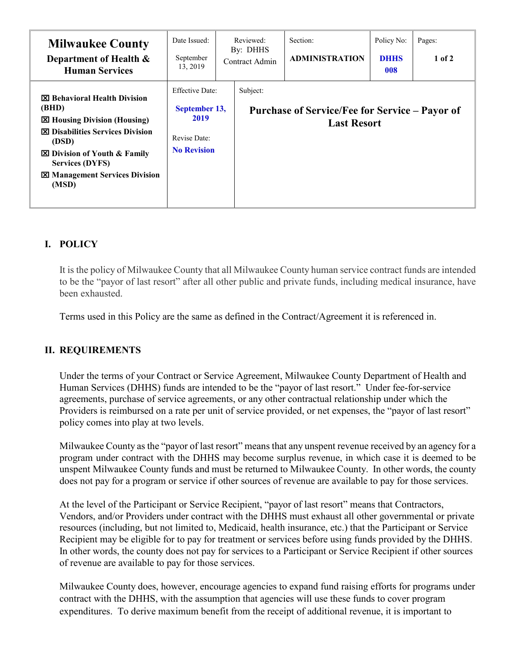| <b>Milwaukee County</b><br>Department of Health &<br><b>Human Services</b>                                                                                                                                                                           | Date Issued:<br>September<br>13, 2019                                                 | Reviewed:<br>By: DHHS<br>Contract Admin | Section:<br><b>ADMINISTRATION</b>                                           | Policy No:<br><b>DHHS</b><br>008 | Pages:<br>$1$ of $2$ |
|------------------------------------------------------------------------------------------------------------------------------------------------------------------------------------------------------------------------------------------------------|---------------------------------------------------------------------------------------|-----------------------------------------|-----------------------------------------------------------------------------|----------------------------------|----------------------|
| <b>図 Behavioral Health Division</b><br>(BHD)<br>⊠ Housing Division (Housing)<br><b>X</b> Disabilities Services Division<br>(DSD)<br><b>⊠</b> Division of Youth & Family<br><b>Services (DYFS)</b><br><b>EX Management Services Division</b><br>(MSD) | <b>Effective Date:</b><br>September 13,<br>2019<br>Revise Date:<br><b>No Revision</b> | Subject:                                | <b>Purchase of Service/Fee for Service – Payor of</b><br><b>Last Resort</b> |                                  |                      |

# **I. POLICY**

It is the policy of Milwaukee County that all Milwaukee County human service contract funds are intended to be the "payor of last resort" after all other public and private funds, including medical insurance, have been exhausted.

Terms used in this Policy are the same as defined in the Contract/Agreement it is referenced in.

## **II. REQUIREMENTS**

Under the terms of your Contract or Service Agreement, Milwaukee County Department of Health and Human Services (DHHS) funds are intended to be the "payor of last resort." Under fee-for-service agreements, purchase of service agreements, or any other contractual relationship under which the Providers is reimbursed on a rate per unit of service provided, or net expenses, the "payor of last resort" policy comes into play at two levels.

Milwaukee County as the "payor of last resort" means that any unspent revenue received by an agency for a program under contract with the DHHS may become surplus revenue, in which case it is deemed to be unspent Milwaukee County funds and must be returned to Milwaukee County. In other words, the county does not pay for a program or service if other sources of revenue are available to pay for those services.

At the level of the Participant or Service Recipient, "payor of last resort" means that Contractors, Vendors, and/or Providers under contract with the DHHS must exhaust all other governmental or private resources (including, but not limited to, Medicaid, health insurance, etc.) that the Participant or Service Recipient may be eligible for to pay for treatment or services before using funds provided by the DHHS. In other words, the county does not pay for services to a Participant or Service Recipient if other sources of revenue are available to pay for those services.

Milwaukee County does, however, encourage agencies to expand fund raising efforts for programs under contract with the DHHS, with the assumption that agencies will use these funds to cover program expenditures. To derive maximum benefit from the receipt of additional revenue, it is important to